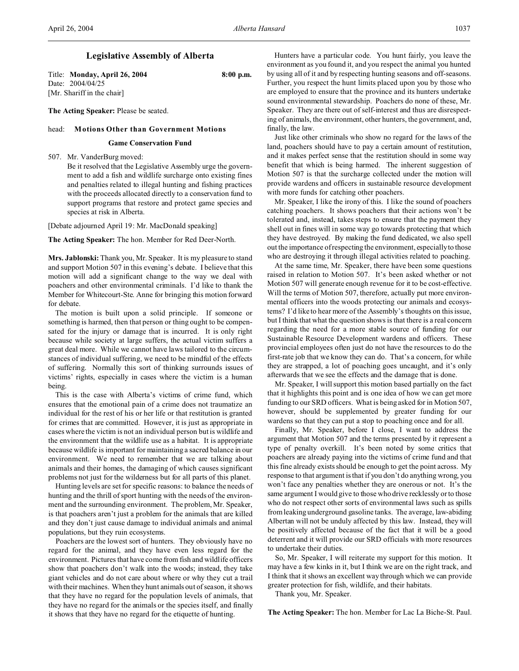# **Legislative Assembly of Alberta**

Title: **Monday, April 26, 2004 8:00 p.m.** Date: 2004/04/25 [Mr. Shariff in the chair]

**The Acting Speaker:** Please be seated.

# head: **Motions Other than Government Motions**

### **Game Conservation Fund**

507. Mr. VanderBurg moved:

Be it resolved that the Legislative Assembly urge the government to add a fish and wildlife surcharge onto existing fines and penalties related to illegal hunting and fishing practices with the proceeds allocated directly to a conservation fund to support programs that restore and protect game species and species at risk in Alberta.

[Debate adjourned April 19: Mr. MacDonald speaking]

**The Acting Speaker:** The hon. Member for Red Deer-North.

**Mrs. Jablonski:** Thank you, Mr. Speaker. It is my pleasure to stand and support Motion 507 in this evening's debate. I believe that this motion will add a significant change to the way we deal with poachers and other environmental criminals. I'd like to thank the Member for Whitecourt-Ste. Anne for bringing this motion forward for debate.

The motion is built upon a solid principle. If someone or something is harmed, then that person or thing ought to be compensated for the injury or damage that is incurred. It is only right because while society at large suffers, the actual victim suffers a great deal more. While we cannot have laws tailored to the circumstances of individual suffering, we need to be mindful of the effects of suffering. Normally this sort of thinking surrounds issues of victims' rights, especially in cases where the victim is a human being.

This is the case with Alberta's victims of crime fund, which ensures that the emotional pain of a crime does not traumatize an individual for the rest of his or her life or that restitution is granted for crimes that are committed. However, it is just as appropriate in cases where the victim is not an individual person but is wildlife and the environment that the wildlife use as a habitat. It is appropriate because wildlife is important for maintaining a sacred balance in our environment. We need to remember that we are talking about animals and their homes, the damaging of which causes significant problems not just for the wilderness but for all parts of this planet.

Hunting levels are set for specific reasons: to balance the needs of hunting and the thrill of sport hunting with the needs of the environment and the surrounding environment. The problem, Mr. Speaker, is that poachers aren't just a problem for the animals that are killed and they don't just cause damage to individual animals and animal populations, but they ruin ecosystems.

Poachers are the lowest sort of hunters. They obviously have no regard for the animal, and they have even less regard for the environment. Pictures that have come from fish and wildlife officers show that poachers don't walk into the woods; instead, they take giant vehicles and do not care about where or why they cut a trail with their machines. When they hunt animals out of season, it shows that they have no regard for the population levels of animals, that they have no regard for the animals or the species itself, and finally it shows that they have no regard for the etiquette of hunting.

Hunters have a particular code. You hunt fairly, you leave the environment as you found it, and you respect the animal you hunted by using all of it and by respecting hunting seasons and off-seasons. Further, you respect the hunt limits placed upon you by those who are employed to ensure that the province and its hunters undertake sound environmental stewardship. Poachers do none of these, Mr. Speaker. They are there out of self-interest and thus are disrespecting of animals, the environment, other hunters, the government, and, finally, the law.

Just like other criminals who show no regard for the laws of the land, poachers should have to pay a certain amount of restitution, and it makes perfect sense that the restitution should in some way benefit that which is being harmed. The inherent suggestion of Motion 507 is that the surcharge collected under the motion will provide wardens and officers in sustainable resource development with more funds for catching other poachers.

Mr. Speaker, I like the irony of this. I like the sound of poachers catching poachers. It shows poachers that their actions won't be tolerated and, instead, takes steps to ensure that the payment they shell out in fines will in some way go towards protecting that which they have destroyed. By making the fund dedicated, we also spell out the importance of respecting the environment, especially to those who are destroying it through illegal activities related to poaching.

At the same time, Mr. Speaker, there have been some questions raised in relation to Motion 507. It's been asked whether or not Motion 507 will generate enough revenue for it to be cost-effective. Will the terms of Motion 507, therefore, actually put more environmental officers into the woods protecting our animals and ecosystems? I'd like to hear more of the Assembly's thoughts on this issue, but I think that what the question shows is that there is a real concern regarding the need for a more stable source of funding for our Sustainable Resource Development wardens and officers. These provincial employees often just do not have the resources to do the first-rate job that we know they can do. That's a concern, for while they are strapped, a lot of poaching goes uncaught, and it's only afterwards that we see the effects and the damage that is done.

Mr. Speaker, I will support this motion based partially on the fact that it highlights this point and is one idea of how we can get more funding to our SRD officers. What is being asked for in Motion 507, however, should be supplemented by greater funding for our wardens so that they can put a stop to poaching once and for all.

Finally, Mr. Speaker, before I close, I want to address the argument that Motion 507 and the terms presented by it represent a type of penalty overkill. It's been noted by some critics that poachers are already paying into the victims of crime fund and that this fine already exists should be enough to get the point across. My response to that argument is that if you don't do anything wrong, you won't face any penalties whether they are onerous or not. It's the same argument I would give to those who drive recklessly or to those who do not respect other sorts of environmental laws such as spills from leaking underground gasoline tanks. The average, law-abiding Albertan will not be unduly affected by this law. Instead, they will be positively affected because of the fact that it will be a good deterrent and it will provide our SRD officials with more resources to undertake their duties.

So, Mr. Speaker, I will reiterate my support for this motion. It may have a few kinks in it, but I think we are on the right track, and I think that it shows an excellent way through which we can provide greater protection for fish, wildlife, and their habitats.

Thank you, Mr. Speaker.

**The Acting Speaker:** The hon. Member for Lac La Biche-St. Paul.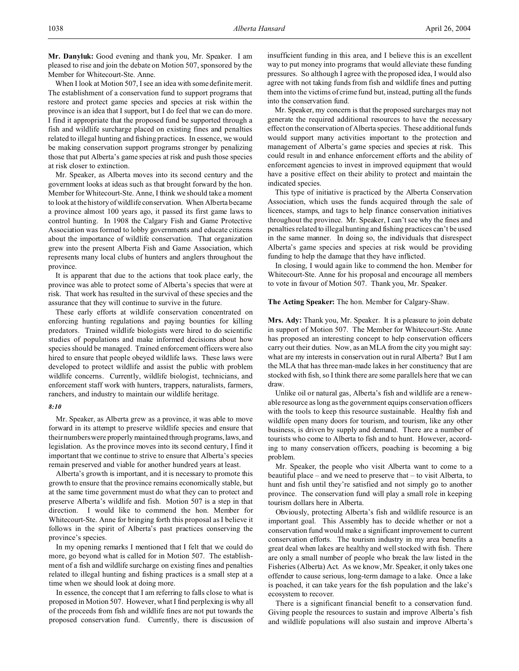**Mr. Danyluk:** Good evening and thank you, Mr. Speaker. I am pleased to rise and join the debate on Motion 507, sponsored by the Member for Whitecourt-Ste. Anne.

When I look at Motion 507, I see an idea with some definite merit. The establishment of a conservation fund to support programs that restore and protect game species and species at risk within the province is an idea that I support, but I do feel that we can do more. I find it appropriate that the proposed fund be supported through a fish and wildlife surcharge placed on existing fines and penalties related to illegal hunting and fishing practices. In essence, we would be making conservation support programs stronger by penalizing those that put Alberta's game species at risk and push those species at risk closer to extinction.

Mr. Speaker, as Alberta moves into its second century and the government looks at ideas such as that brought forward by the hon. Member for Whitecourt-Ste. Anne, I think we should take a moment to look at the history of wildlife conservation. When Alberta became a province almost 100 years ago, it passed its first game laws to control hunting. In 1908 the Calgary Fish and Game Protective Association was formed to lobby governments and educate citizens about the importance of wildlife conservation. That organization grew into the present Alberta Fish and Game Association, which represents many local clubs of hunters and anglers throughout the province.

It is apparent that due to the actions that took place early, the province was able to protect some of Alberta's species that were at risk. That work has resulted in the survival of these species and the assurance that they will continue to survive in the future.

These early efforts at wildlife conservation concentrated on enforcing hunting regulations and paying bounties for killing predators. Trained wildlife biologists were hired to do scientific studies of populations and make informed decisions about how species should be managed. Trained enforcement officers were also hired to ensure that people obeyed wildlife laws. These laws were developed to protect wildlife and assist the public with problem wildlife concerns. Currently, wildlife biologist, technicians, and enforcement staff work with hunters, trappers, naturalists, farmers, ranchers, and industry to maintain our wildlife heritage.

#### *8:10*

Mr. Speaker, as Alberta grew as a province, it was able to move forward in its attempt to preserve wildlife species and ensure that their numbers were properly maintained through programs,laws, and legislation. As the province moves into its second century, I find it important that we continue to strive to ensure that Alberta's species remain preserved and viable for another hundred years at least.

Alberta's growth is important, and it is necessary to promote this growth to ensure that the province remains economically stable, but at the same time government must do what they can to protect and preserve Alberta's wildlife and fish. Motion 507 is a step in that direction. I would like to commend the hon. Member for Whitecourt-Ste. Anne for bringing forth this proposal as I believe it follows in the spirit of Alberta's past practices conserving the province's species.

In my opening remarks I mentioned that I felt that we could do more, go beyond what is called for in Motion 507. The establishment of a fish and wildlife surcharge on existing fines and penalties related to illegal hunting and fishing practices is a small step at a time when we should look at doing more.

In essence, the concept that I am referring to falls close to what is proposed in Motion 507. However, what I find perplexing is why all of the proceeds from fish and wildlife fines are not put towards the proposed conservation fund. Currently, there is discussion of insufficient funding in this area, and I believe this is an excellent way to put money into programs that would alleviate these funding pressures. So although I agree with the proposed idea, I would also agree with not taking funds from fish and wildlife fines and putting them into the victims of crime fund but, instead, putting all the funds into the conservation fund.

Mr. Speaker, my concern is that the proposed surcharges may not generate the required additional resources to have the necessary effect on the conservation of Alberta species. These additional funds would support many activities important to the protection and management of Alberta's game species and species at risk. This could result in and enhance enforcement efforts and the ability of enforcement agencies to invest in improved equipment that would have a positive effect on their ability to protect and maintain the indicated species.

This type of initiative is practiced by the Alberta Conservation Association, which uses the funds acquired through the sale of licences, stamps, and tags to help finance conservation initiatives throughout the province. Mr. Speaker, I can't see why the fines and penalties related to illegal hunting and fishing practices can't be used in the same manner. In doing so, the individuals that disrespect Alberta's game species and species at risk would be providing funding to help the damage that they have inflicted.

In closing, I would again like to commend the hon. Member for Whitecourt-Ste. Anne for his proposal and encourage all members to vote in favour of Motion 507. Thank you, Mr. Speaker.

**The Acting Speaker:** The hon. Member for Calgary-Shaw.

**Mrs. Ady:** Thank you, Mr. Speaker. It is a pleasure to join debate in support of Motion 507. The Member for Whitecourt-Ste. Anne has proposed an interesting concept to help conservation officers carry out their duties. Now, as an MLA from the city you might say: what are my interests in conservation out in rural Alberta? But I am the MLA that has three man-made lakes in her constituency that are stocked with fish, so I think there are some parallels here that we can draw.

Unlike oil or natural gas, Alberta's fish and wildlife are a renewable resource as long as the government equips conservation officers with the tools to keep this resource sustainable. Healthy fish and wildlife open many doors for tourism, and tourism, like any other business, is driven by supply and demand. There are a number of tourists who come to Alberta to fish and to hunt. However, according to many conservation officers, poaching is becoming a big problem.

Mr. Speaker, the people who visit Alberta want to come to a beautiful place – and we need to preserve that – to visit Alberta, to hunt and fish until they're satisfied and not simply go to another province. The conservation fund will play a small role in keeping tourism dollars here in Alberta.

Obviously, protecting Alberta's fish and wildlife resource is an important goal. This Assembly has to decide whether or not a conservation fund would make a significant improvement to current conservation efforts. The tourism industry in my area benefits a great deal when lakes are healthy and well stocked with fish. There are only a small number of people who break the law listed in the Fisheries (Alberta) Act. As we know, Mr. Speaker, it only takes one offender to cause serious, long-term damage to a lake. Once a lake is poached, it can take years for the fish population and the lake's ecosystem to recover.

There is a significant financial benefit to a conservation fund. Giving people the resources to sustain and improve Alberta's fish and wildlife populations will also sustain and improve Alberta's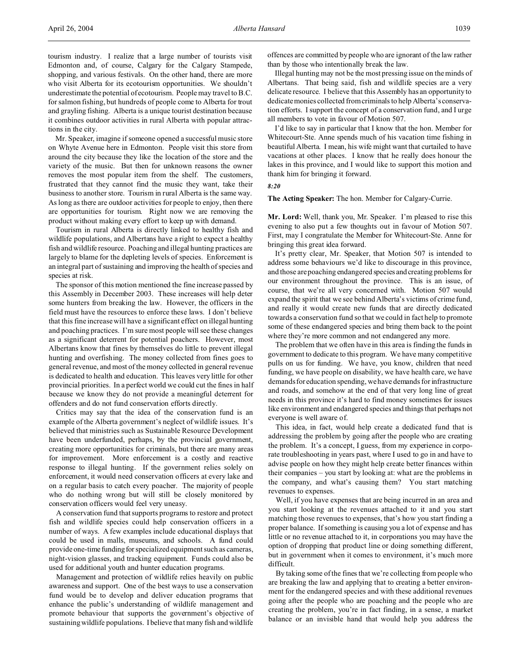Mr. Speaker, imagine if someone opened a successful music store on Whyte Avenue here in Edmonton. People visit this store from around the city because they like the location of the store and the variety of the music. But then for unknown reasons the owner removes the most popular item from the shelf. The customers, frustrated that they cannot find the music they want, take their business to another store. Tourism in rural Alberta is the same way. As long as there are outdoor activities for people to enjoy, then there are opportunities for tourism. Right now we are removing the product without making every effort to keep up with demand.

Tourism in rural Alberta is directly linked to healthy fish and wildlife populations, and Albertans have a right to expect a healthy fish and wildlife resource. Poaching and illegal hunting practices are largely to blame for the depleting levels of species. Enforcement is an integral part of sustaining and improving the health of species and species at risk.

The sponsor of this motion mentioned the fine increase passed by this Assembly in December 2003. These increases will help deter some hunters from breaking the law. However, the officers in the field must have the resources to enforce these laws. I don't believe that this fine increase will have a significant effect on illegal hunting and poaching practices. I'm sure most people will see these changes as a significant deterrent for potential poachers. However, most Albertans know that fines by themselves do little to prevent illegal hunting and overfishing. The money collected from fines goes to general revenue, and most of the money collected in general revenue is dedicated to health and education. This leaves very little for other provincial priorities. In a perfect world we could cut the fines in half because we know they do not provide a meaningful deterrent for offenders and do not fund conservation efforts directly.

Critics may say that the idea of the conservation fund is an example of the Alberta government's neglect of wildlife issues. It's believed that ministries such as Sustainable Resource Development have been underfunded, perhaps, by the provincial government, creating more opportunities for criminals, but there are many areas for improvement. More enforcement is a costly and reactive response to illegal hunting. If the government relies solely on enforcement, it would need conservation officers at every lake and on a regular basis to catch every poacher. The majority of people who do nothing wrong but will still be closely monitored by conservation officers would feel very uneasy.

A conservation fund that supports programs to restore and protect fish and wildlife species could help conservation officers in a number of ways. A few examples include educational displays that could be used in malls, museums, and schools. A fund could provide one-time funding for specialized equipment such as cameras, night-vision glasses, and tracking equipment. Funds could also be used for additional youth and hunter education programs.

Management and protection of wildlife relies heavily on public awareness and support. One of the best ways to use a conservation fund would be to develop and deliver education programs that enhance the public's understanding of wildlife management and promote behaviour that supports the government's objective of sustaining wildlife populations. I believe that many fish and wildlife

offences are committed by people who are ignorant of the law rather than by those who intentionally break the law.

Illegal hunting may not be the most pressing issue on the minds of Albertans. That being said, fish and wildlife species are a very delicate resource. I believe that this Assembly has an opportunity to dedicate monies collected from criminals to help Alberta's conservation efforts. I support the concept of a conservation fund, and I urge all members to vote in favour of Motion 507.

I'd like to say in particular that I know that the hon. Member for Whitecourt-Ste. Anne spends much of his vacation time fishing in beautiful Alberta. I mean, his wife might want that curtailed to have vacations at other places. I know that he really does honour the lakes in this province, and I would like to support this motion and thank him for bringing it forward.

#### *8:20*

**The Acting Speaker:** The hon. Member for Calgary-Currie.

**Mr. Lord:** Well, thank you, Mr. Speaker. I'm pleased to rise this evening to also put a few thoughts out in favour of Motion 507. First, may I congratulate the Member for Whitecourt-Ste. Anne for bringing this great idea forward.

It's pretty clear, Mr. Speaker, that Motion 507 is intended to address some behaviours we'd like to discourage in this province, and those are poaching endangered species and creating problems for our environment throughout the province. This is an issue, of course, that we're all very concerned with. Motion 507 would expand the spirit that we see behind Alberta's victims of crime fund, and really it would create new funds that are directly dedicated towards a conservation fund so that we could in fact help to promote some of these endangered species and bring them back to the point where they're more common and not endangered any more.

The problem that we often have in this area is finding the funds in government to dedicate to this program. We have many competitive pulls on us for funding. We have, you know, children that need funding, we have people on disability, we have health care, we have demands for education spending, we have demands for infrastructure and roads, and somehow at the end of that very long line of great needs in this province it's hard to find money sometimes for issues like environment and endangered species and things that perhaps not everyone is well aware of.

This idea, in fact, would help create a dedicated fund that is addressing the problem by going after the people who are creating the problem. It's a concept, I guess, from my experience in corporate troubleshooting in years past, where I used to go in and have to advise people on how they might help create better finances within their companies – you start by looking at: what are the problems in the company, and what's causing them? You start matching revenues to expenses.

Well, if you have expenses that are being incurred in an area and you start looking at the revenues attached to it and you start matching those revenues to expenses, that's how you start finding a proper balance. If something is causing you a lot of expense and has little or no revenue attached to it, in corporations you may have the option of dropping that product line or doing something different, but in government when it comes to environment, it's much more difficult.

By taking some of the fines that we're collecting from people who are breaking the law and applying that to creating a better environment for the endangered species and with these additional revenues going after the people who are poaching and the people who are creating the problem, you're in fact finding, in a sense, a market balance or an invisible hand that would help you address the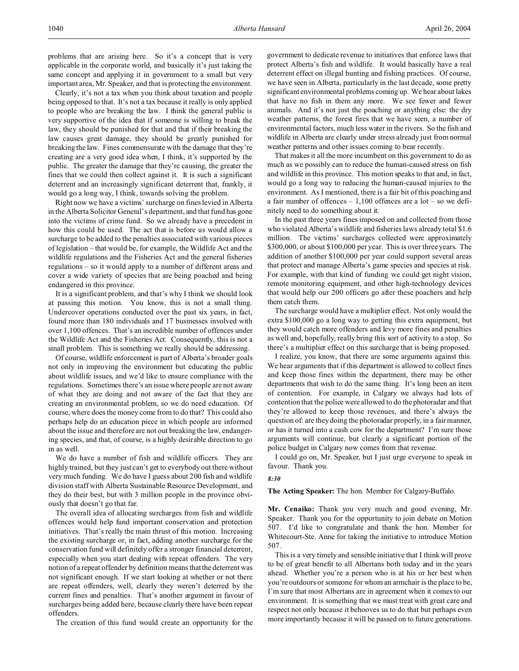problems that are arising here. So it's a concept that is very applicable in the corporate world, and basically it's just taking the same concept and applying it in government to a small but very important area, Mr. Speaker, and that is protecting the environment.

Clearly, it's not a tax when you think about taxation and people being opposed to that. It's not a tax because it really is only applied to people who are breaking the law. I think the general public is very supportive of the idea that if someone is willing to break the law, they should be punished for that and that if their breaking the law causes great damage, they should be greatly punished for breaking the law. Fines commensurate with the damage that they're creating are a very good idea when, I think, it's supported by the public. The greater the damage that they're causing, the greater the fines that we could then collect against it. It is such a significant deterrent and an increasingly significant deterrent that, frankly, it would go a long way, I think, towards solving the problem.

Right now we have a victims' surcharge on fines levied in Alberta in the Alberta Solicitor General's department, and that fund has gone into the victims of crime fund. So we already have a precedent in how this could be used. The act that is before us would allow a surcharge to be added to the penalties associated with various pieces of legislation – that would be, for example, the Wildlife Act and the wildlife regulations and the Fisheries Act and the general fisheries regulations – so it would apply to a number of different areas and cover a wide variety of species that are being poached and being endangered in this province.

It is a significant problem, and that's why I think we should look at passing this motion. You know, this is not a small thing. Undercover operations conducted over the past six years, in fact, found more than 180 individuals and 17 businesses involved with over 1,100 offences. That's an incredible number of offences under the Wildlife Act and the Fisheries Act. Consequently, this is not a small problem. This is something we really should be addressing.

Of course, wildlife enforcement is part of Alberta's broader goals not only in improving the environment but educating the public about wildlife issues, and we'd like to ensure compliance with the regulations. Sometimes there's an issue where people are not aware of what they are doing and not aware of the fact that they are creating an environmental problem, so we do need education. Of course, where does the money come from to do that? This could also perhaps help do an education piece in which people are informed about the issue and therefore are not out breaking the law, endangering species, and that, of course, is a highly desirable direction to go in as well.

We do have a number of fish and wildlife officers. They are highly trained, but they just can't get to everybody out there without very much funding. We do have I guess about 200 fish and wildlife division staff with Alberta Sustainable Resource Development, and they do their best, but with 3 million people in the province obviously that doesn't go that far.

The overall idea of allocating surcharges from fish and wildlife offences would help fund important conservation and protection initiatives. That's really the main thrust of this motion. Increasing the existing surcharge or, in fact, adding another surcharge for the conservation fund will definitely offer a stronger financial deterrent, especially when you start dealing with repeat offenders. The very notion of a repeat offender by definition means that the deterrent was not significant enough. If we start looking at whether or not there are repeat offenders, well, clearly they weren't deterred by the current fines and penalties. That's another argument in favour of surcharges being added here, because clearly there have been repeat offenders.

The creation of this fund would create an opportunity for the

government to dedicate revenue to initiatives that enforce laws that protect Alberta's fish and wildlife. It would basically have a real deterrent effect on illegal hunting and fishing practices. Of course, we have seen in Alberta, particularly in the last decade, some pretty significant environmental problems coming up. We hear about lakes that have no fish in them any more. We see fewer and fewer animals. And it's not just the poaching or anything else: the dry weather patterns, the forest fires that we have seen, a number of environmental factors, much less water in the rivers. So the fish and wildlife in Alberta are clearly under stress already just from normal weather patterns and other issues coming to bear recently.

That makes it all the more incumbent on this government to do as much as we possibly can to reduce the human-caused stress on fish and wildlife in this province. This motion speaks to that and, in fact, would go a long way to reducing the human-caused injuries to the environment. As I mentioned, there is a fair bit of this poaching and a fair number of offences  $-1,100$  offences are a lot – so we definitely need to do something about it.

In the past three years fines imposed on and collected from those who violated Alberta's wildlife and fisheries laws already total \$1.6 million. The victims' surcharges collected were approximately \$300,000, or about \$100,000 per year. This is over three years. The addition of another \$100,000 per year could support several areas that protect and manage Alberta's game species and species at risk. For example, with that kind of funding we could get night vision, remote monitoring equipment, and other high-technology devices that would help our 200 officers go after these poachers and help them catch them.

The surcharge would have a multiplier effect. Not only would the extra \$100,000 go a long way to getting this extra equipment, but they would catch more offenders and levy more fines and penalties as well and, hopefully, really bring this sort of activity to a stop. So there's a multiplier effect on this surcharge that is being proposed.

I realize, you know, that there are some arguments against this. We hear arguments that if this department is allowed to collect fines and keep those fines within the department, there may be other departments that wish to do the same thing. It's long been an item of contention. For example, in Calgary we always had lots of contention that the police were allowed to do the photoradar and that they're allowed to keep those revenues, and there's always the question of: are they doing the photoradar properly, in a fair manner, or has it turned into a cash cow for the department? I'm sure those arguments will continue, but clearly a significant portion of the police budget in Calgary now comes from that revenue.

I could go on, Mr. Speaker, but I just urge everyone to speak in favour. Thank you.

#### *8:30*

**The Acting Speaker:** The hon. Member for Calgary-Buffalo.

**Mr. Cenaiko:** Thank you very much and good evening, Mr. Speaker. Thank you for the opportunity to join debate on Motion 507. I'd like to congratulate and thank the hon. Member for Whitecourt-Ste. Anne for taking the initiative to introduce Motion 507.

This is a very timely and sensible initiative that I think will prove to be of great benefit to all Albertans both today and in the years ahead. Whether you're a person who is at his or her best when you're outdoors or someone for whom an armchair is the place to be, I'm sure that most Albertans are in agreement when it comes to our environment. It is something that we must treat with great care and respect not only because it behooves us to do that but perhaps even more importantly because it will be passed on to future generations.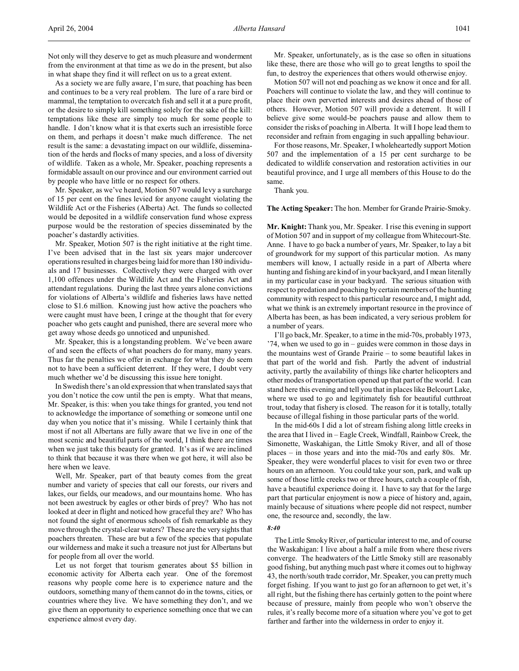As a society we are fully aware, I'm sure, that poaching has been and continues to be a very real problem. The lure of a rare bird or mammal, the temptation to overcatch fish and sell it at a pure profit, or the desire to simply kill something solely for the sake of the kill: temptations like these are simply too much for some people to handle. I don't know what it is that exerts such an irresistible force on them, and perhaps it doesn't make much difference. The net result is the same: a devastating impact on our wildlife, dissemination of the herds and flocks of many species, and a loss of diversity of wildlife. Taken as a whole, Mr. Speaker, poaching represents a formidable assault on our province and our environment carried out by people who have little or no respect for others.

Mr. Speaker, as we've heard, Motion 507 would levy a surcharge of 15 per cent on the fines levied for anyone caught violating the Wildlife Act or the Fisheries (Alberta) Act. The funds so collected would be deposited in a wildlife conservation fund whose express purpose would be the restoration of species disseminated by the poacher's dastardly activities.

Mr. Speaker, Motion 507 is the right initiative at the right time. I've been advised that in the last six years major undercover operations resulted in charges being laid for more than 180 individuals and 17 businesses. Collectively they were charged with over 1,100 offences under the Wildlife Act and the Fisheries Act and attendant regulations. During the last three years alone convictions for violations of Alberta's wildlife and fisheries laws have netted close to \$1.6 million. Knowing just how active the poachers who were caught must have been, I cringe at the thought that for every poacher who gets caught and punished, there are several more who get away whose deeds go unnoticed and unpunished.

Mr. Speaker, this is a longstanding problem. We've been aware of and seen the effects of what poachers do for many, many years. Thus far the penalties we offer in exchange for what they do seem not to have been a sufficient deterrent. If they were, I doubt very much whether we'd be discussing this issue here tonight.

In Swedish there's an old expression that when translated says that you don't notice the cow until the pen is empty. What that means, Mr. Speaker, is this: when you take things for granted, you tend not to acknowledge the importance of something or someone until one day when you notice that it's missing. While I certainly think that most if not all Albertans are fully aware that we live in one of the most scenic and beautiful parts of the world, I think there are times when we just take this beauty for granted. It's as if we are inclined to think that because it was there when we got here, it will also be here when we leave.

Well, Mr. Speaker, part of that beauty comes from the great number and variety of species that call our forests, our rivers and lakes, our fields, our meadows, and our mountains home. Who has not been awestruck by eagles or other birds of prey? Who has not looked at deer in flight and noticed how graceful they are? Who has not found the sight of enormous schools of fish remarkable as they move through the crystal-clear waters? These are the very sights that poachers threaten. These are but a few of the species that populate our wilderness and make it such a treasure not just for Albertans but for people from all over the world.

Let us not forget that tourism generates about \$5 billion in economic activity for Alberta each year. One of the foremost reasons why people come here is to experience nature and the outdoors, something many of them cannot do in the towns, cities, or countries where they live. We have something they don't, and we give them an opportunity to experience something once that we can experience almost every day.

Mr. Speaker, unfortunately, as is the case so often in situations like these, there are those who will go to great lengths to spoil the fun, to destroy the experiences that others would otherwise enjoy.

Motion 507 will not end poaching as we know it once and for all. Poachers will continue to violate the law, and they will continue to place their own perverted interests and desires ahead of those of others. However, Motion 507 will provide a deterrent. It will I believe give some would-be poachers pause and allow them to consider the risks of poaching in Alberta. It will I hope lead them to reconsider and refrain from engaging in such appalling behaviour.

For those reasons, Mr. Speaker, I wholeheartedly support Motion 507 and the implementation of a 15 per cent surcharge to be dedicated to wildlife conservation and restoration activities in our beautiful province, and I urge all members of this House to do the same.

Thank you.

## **The Acting Speaker:** The hon. Member for Grande Prairie-Smoky.

**Mr. Knight:** Thank you, Mr. Speaker. I rise this evening in support of Motion 507 and in support of my colleague from Whitecourt-Ste. Anne. I have to go back a number of years, Mr. Speaker, to lay a bit of groundwork for my support of this particular motion. As many members will know, I actually reside in a part of Alberta where hunting and fishing are kind of in your backyard, and I mean literally in my particular case in your backyard. The serious situation with respect to predation and poaching by certain members of the hunting community with respect to this particular resource and, I might add, what we think is an extremely important resource in the province of Alberta has been, as has been indicated, a very serious problem for a number of years.

I'll go back, Mr. Speaker, to a time in the mid-70s, probably 1973, '74, when we used to go in – guides were common in those days in the mountains west of Grande Prairie – to some beautiful lakes in that part of the world and fish. Partly the advent of industrial activity, partly the availability of things like charter helicopters and other modes of transportation opened up that part of the world. I can stand here this evening and tell you that in places like Belcourt Lake, where we used to go and legitimately fish for beautiful cutthroat trout, today that fishery is closed. The reason for it is totally, totally because of illegal fishing in those particular parts of the world.

In the mid-60s I did a lot of stream fishing along little creeks in the area that I lived in – Eagle Creek, Windfall, Rainbow Creek, the Simonette, Waskahigan, the Little Smoky River, and all of those places – in those years and into the mid-70s and early 80s. Mr. Speaker, they were wonderful places to visit for even two or three hours on an afternoon. You could take your son, park, and walk up some of those little creeks two or three hours, catch a couple of fish, have a beautiful experience doing it. I have to say that for the large part that particular enjoyment is now a piece of history and, again, mainly because of situations where people did not respect, number one, the resource and, secondly, the law.

#### *8:40*

The Little Smoky River, of particular interest to me, and of course the Waskahigan: I live about a half a mile from where these rivers converge. The headwaters of the Little Smoky still are reasonably good fishing, but anything much past where it comes out to highway 43, the north/south trade corridor, Mr. Speaker, you can pretty much forget fishing. If you want to just go for an afternoon to get wet, it's all right, but the fishing there has certainly gotten to the point where because of pressure, mainly from people who won't observe the rules, it's really become more of a situation where you've got to get farther and farther into the wilderness in order to enjoy it.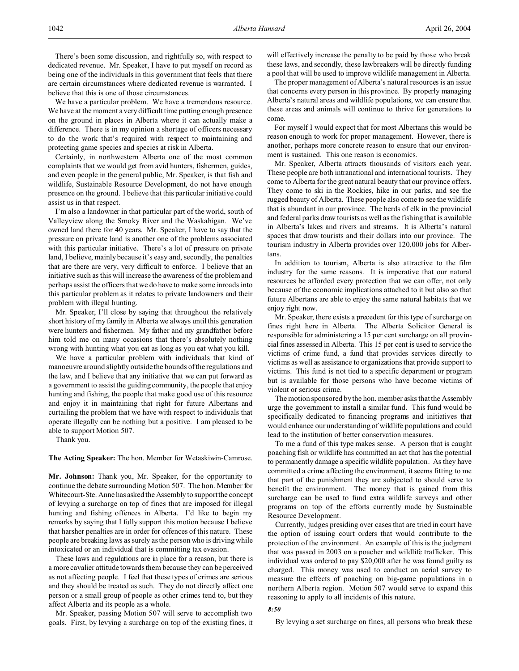There's been some discussion, and rightfully so, with respect to dedicated revenue. Mr. Speaker, I have to put myself on record as being one of the individuals in this government that feels that there are certain circumstances where dedicated revenue is warranted. I believe that this is one of those circumstances.

We have a particular problem. We have a tremendous resource. We have at the moment a very difficult time putting enough presence on the ground in places in Alberta where it can actually make a difference. There is in my opinion a shortage of officers necessary to do the work that's required with respect to maintaining and protecting game species and species at risk in Alberta.

Certainly, in northwestern Alberta one of the most common complaints that we would get from avid hunters, fishermen, guides, and even people in the general public, Mr. Speaker, is that fish and wildlife, Sustainable Resource Development, do not have enough presence on the ground. I believe that this particular initiative could assist us in that respect.

I'm also a landowner in that particular part of the world, south of Valleyview along the Smoky River and the Waskahigan. We've owned land there for 40 years. Mr. Speaker, I have to say that the pressure on private land is another one of the problems associated with this particular initiative. There's a lot of pressure on private land, I believe, mainly because it's easy and, secondly, the penalties that are there are very, very difficult to enforce. I believe that an initiative such as this will increase the awareness of the problem and perhaps assist the officers that we do have to make some inroads into this particular problem as it relates to private landowners and their problem with illegal hunting.

Mr. Speaker, I'll close by saying that throughout the relatively short history of my family in Alberta we always until this generation were hunters and fishermen. My father and my grandfather before him told me on many occasions that there's absolutely nothing wrong with hunting what you eat as long as you eat what you kill.

We have a particular problem with individuals that kind of manoeuvre around slightly outside the bounds of the regulations and the law, and I believe that any initiative that we can put forward as a government to assist the guiding community, the people that enjoy hunting and fishing, the people that make good use of this resource and enjoy it in maintaining that right for future Albertans and curtailing the problem that we have with respect to individuals that operate illegally can be nothing but a positive. I am pleased to be able to support Motion 507.

Thank you.

**The Acting Speaker:** The hon. Member for Wetaskiwin-Camrose.

**Mr. Johnson:** Thank you, Mr. Speaker, for the opportunity to continue the debate surrounding Motion 507. The hon. Member for Whitecourt-Ste. Anne has asked the Assembly to support the concept of levying a surcharge on top of fines that are imposed for illegal hunting and fishing offences in Alberta. I'd like to begin my remarks by saying that I fully support this motion because I believe that harsher penalties are in order for offences of this nature. These people are breaking laws as surely as the person who is driving while intoxicated or an individual that is committing tax evasion.

These laws and regulations are in place for a reason, but there is a more cavalier attitude towards them because they can be perceived as not affecting people. I feel that these types of crimes are serious and they should be treated as such. They do not directly affect one person or a small group of people as other crimes tend to, but they affect Alberta and its people as a whole.

Mr. Speaker, passing Motion 507 will serve to accomplish two goals. First, by levying a surcharge on top of the existing fines, it will effectively increase the penalty to be paid by those who break these laws, and secondly, these lawbreakers will be directly funding a pool that will be used to improve wildlife management in Alberta.

The proper management of Alberta's natural resources is an issue that concerns every person in this province. By properly managing Alberta's natural areas and wildlife populations, we can ensure that these areas and animals will continue to thrive for generations to come.

For myself I would expect that for most Albertans this would be reason enough to work for proper management. However, there is another, perhaps more concrete reason to ensure that our environment is sustained. This one reason is economics.

Mr. Speaker, Alberta attracts thousands of visitors each year. These people are both intranational and international tourists. They come to Alberta for the great natural beauty that our province offers. They come to ski in the Rockies, hike in our parks, and see the rugged beauty of Alberta. These people also come to see the wildlife that is abundant in our province. The herds of elk in the provincial and federal parks draw tourists as well as the fishing that is available in Alberta's lakes and rivers and streams. It is Alberta's natural spaces that draw tourists and their dollars into our province. The tourism industry in Alberta provides over 120,000 jobs for Albertans.

In addition to tourism, Alberta is also attractive to the film industry for the same reasons. It is imperative that our natural resources be afforded every protection that we can offer, not only because of the economic implications attached to it but also so that future Albertans are able to enjoy the same natural habitats that we enjoy right now.

Mr. Speaker, there exists a precedent for this type of surcharge on fines right here in Alberta. The Alberta Solicitor General is responsible for administering a 15 per cent surcharge on all provincial fines assessed in Alberta. This 15 per cent is used to service the victims of crime fund, a fund that provides services directly to victims as well as assistance to organizations that provide support to victims. This fund is not tied to a specific department or program but is available for those persons who have become victims of violent or serious crime.

The motion sponsored by the hon. member asks that the Assembly urge the government to install a similar fund. This fund would be specifically dedicated to financing programs and initiatives that would enhance our understanding of wildlife populations and could lead to the institution of better conservation measures.

To me a fund of this type makes sense. A person that is caught poaching fish or wildlife has committed an act that has the potential to permanently damage a specific wildlife population. As they have committed a crime affecting the environment, it seems fitting to me that part of the punishment they are subjected to should serve to benefit the environment. The money that is gained from this surcharge can be used to fund extra wildlife surveys and other programs on top of the efforts currently made by Sustainable Resource Development.

Currently, judges presiding over cases that are tried in court have the option of issuing court orders that would contribute to the protection of the environment. An example of this is the judgment that was passed in 2003 on a poacher and wildlife trafficker. This individual was ordered to pay \$20,000 after he was found guilty as charged. This money was used to conduct an aerial survey to measure the effects of poaching on big-game populations in a northern Alberta region. Motion 507 would serve to expand this reasoning to apply to all incidents of this nature.

### *8:50*

By levying a set surcharge on fines, all persons who break these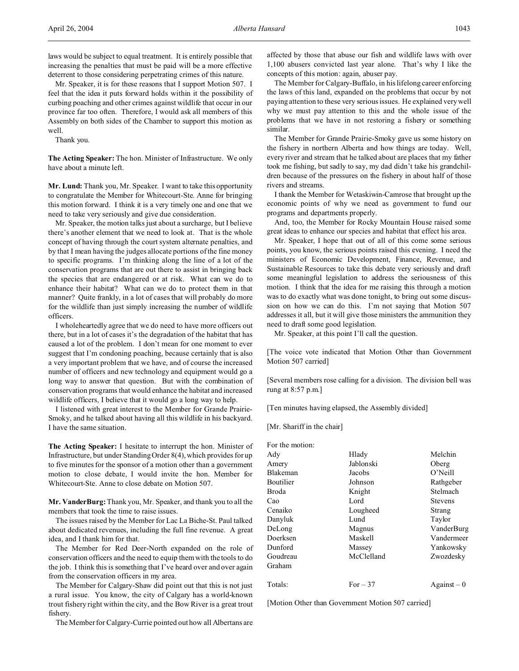Mr. Speaker, it is for these reasons that I support Motion 507. I feel that the idea it puts forward holds within it the possibility of curbing poaching and other crimes against wildlife that occur in our province far too often. Therefore, I would ask all members of this Assembly on both sides of the Chamber to support this motion as well.

Thank you.

**The Acting Speaker:** The hon. Minister of Infrastructure. We only have about a minute left.

**Mr. Lund:** Thank you, Mr. Speaker. I want to take this opportunity to congratulate the Member for Whitecourt-Ste. Anne for bringing this motion forward. I think it is a very timely one and one that we need to take very seriously and give due consideration.

Mr. Speaker, the motion talks just about a surcharge, but I believe there's another element that we need to look at. That is the whole concept of having through the court system alternate penalties, and by that I mean having the judges allocate portions of the fine money to specific programs. I'm thinking along the line of a lot of the conservation programs that are out there to assist in bringing back the species that are endangered or at risk. What can we do to enhance their habitat? What can we do to protect them in that manner? Quite frankly, in a lot of cases that will probably do more for the wildlife than just simply increasing the number of wildlife officers.

I wholeheartedly agree that we do need to have more officers out there, but in a lot of cases it's the degradation of the habitat that has caused a lot of the problem. I don't mean for one moment to ever suggest that I'm condoning poaching, because certainly that is also a very important problem that we have, and of course the increased number of officers and new technology and equipment would go a long way to answer that question. But with the combination of conservation programs that would enhance the habitat and increased wildlife officers, I believe that it would go a long way to help.

I listened with great interest to the Member for Grande Prairie-Smoky, and he talked about having all this wildlife in his backyard. I have the same situation.

**The Acting Speaker:** I hesitate to interrupt the hon. Minister of Infrastructure, but under Standing Order 8(4), which provides for up to five minutes for the sponsor of a motion other than a government motion to close debate, I would invite the hon. Member for Whitecourt-Ste. Anne to close debate on Motion 507.

**Mr. VanderBurg:** Thank you, Mr. Speaker, and thank you to all the members that took the time to raise issues.

The issues raised by the Member for Lac La Biche-St. Paul talked about dedicated revenues, including the full fine revenue. A great idea, and I thank him for that.

The Member for Red Deer-North expanded on the role of conservation officers and the need to equip them with the tools to do the job. I think this is something that I've heard over and over again from the conservation officers in my area.

The Member for Calgary-Shaw did point out that this is not just a rural issue. You know, the city of Calgary has a world-known trout fishery right within the city, and the Bow River is a great trout fishery.

The Member for Calgary-Currie pointed out how all Albertans are

affected by those that abuse our fish and wildlife laws with over 1,100 abusers convicted last year alone. That's why I like the concepts of this motion: again, abuser pay.

The Member for Calgary-Buffalo, in his lifelong career enforcing the laws of this land, expanded on the problems that occur by not paying attention to these very serious issues. He explained very well why we must pay attention to this and the whole issue of the problems that we have in not restoring a fishery or something similar.

The Member for Grande Prairie-Smoky gave us some history on the fishery in northern Alberta and how things are today. Well, every river and stream that he talked about are places that my father took me fishing, but sadly to say, my dad didn't take his grandchildren because of the pressures on the fishery in about half of those rivers and streams.

I thank the Member for Wetaskiwin-Camrose that brought up the economic points of why we need as government to fund our programs and departments properly.

And, too, the Member for Rocky Mountain House raised some great ideas to enhance our species and habitat that effect his area.

Mr. Speaker, I hope that out of all of this come some serious points, you know, the serious points raised this evening. I need the ministers of Economic Development, Finance, Revenue, and Sustainable Resources to take this debate very seriously and draft some meaningful legislation to address the seriousness of this motion. I think that the idea for me raising this through a motion was to do exactly what was done tonight, to bring out some discussion on how we can do this. I'm not saying that Motion 507 addresses it all, but it will give those ministers the ammunition they need to draft some good legislation.

Mr. Speaker, at this point I'll call the question.

[The voice vote indicated that Motion Other than Government Motion 507 carried]

[Several members rose calling for a division. The division bell was rung at 8:57 p.m.]

[Ten minutes having elapsed, the Assembly divided]

[Mr. Shariff in the chair]

| For the motion: |            |                |
|-----------------|------------|----------------|
| Adv             | Hlady      | Melchin        |
| Amery           | Jablonski  | Oberg          |
| Blakeman        | Jacobs     | O'Neill        |
| Boutilier       | Johnson    | Rathgeber      |
| Broda           | Knight     | Stelmach       |
| Cao             | Lord       | <b>Stevens</b> |
| Cenaiko         | Lougheed   | Strang         |
| Danyluk         | Lund       | Taylor         |
| DeLong          | Magnus     | VanderBurg     |
| Doerksen        | Maskell    | Vandermeer     |
| Dunford         | Massey     | Yankowsky      |
| Goudreau        | McClelland | Zwozdesky      |
| Graham          |            |                |
| Totals:         | $For -37$  | $Against-0$    |

[Motion Other than Government Motion 507 carried]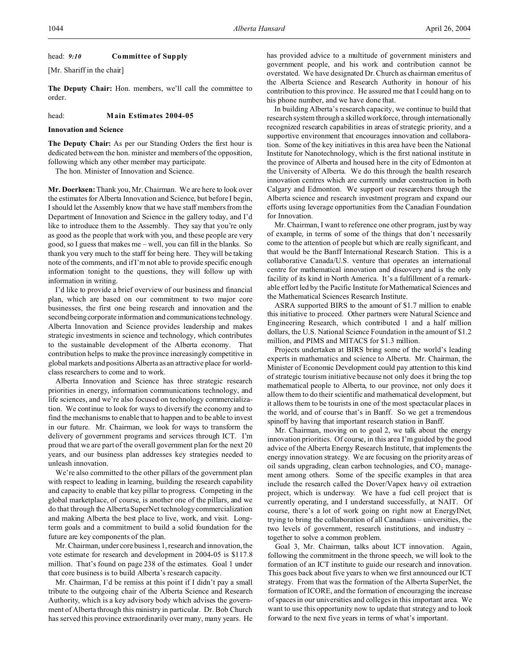#### head: *9:10* **Committee of Supply**

[Mr. Shariff in the chair]

**The Deputy Chair:** Hon. members, we'll call the committee to order.

#### head: **Main Estimates 2004-05**

### **Innovation and Science**

**The Deputy Chair:** As per our Standing Orders the first hour is dedicated between the hon. minister and members of the opposition, following which any other member may participate.

The hon. Minister of Innovation and Science.

**Mr. Doerksen:** Thank you, Mr. Chairman. We are here to look over the estimates for Alberta Innovation and Science, but before I begin, I should let the Assembly know that we have staff members from the Department of Innovation and Science in the gallery today, and I'd like to introduce them to the Assembly. They say that you're only as good as the people that work with you, and these people are very good, so I guess that makes me – well, you can fill in the blanks. So thank you very much to the staff for being here. They will be taking note of the comments, and if I'm not able to provide specific enough information tonight to the questions, they will follow up with information in writing.

I'd like to provide a brief overview of our business and financial plan, which are based on our commitment to two major core businesses, the first one being research and innovation and the second being corporate information and communications technology. Alberta Innovation and Science provides leadership and makes strategic investments in science and technology, which contributes to the sustainable development of the Alberta economy. That contribution helps to make the province increasingly competitive in global markets and positions Alberta as an attractive place for worldclass researchers to come and to work.

Alberta Innovation and Science has three strategic research priorities in energy, information communications technology, and life sciences, and we're also focused on technology commercialization. We continue to look for ways to diversify the economy and to find the mechanisms to enable that to happen and to be able to invest in our future. Mr. Chairman, we look for ways to transform the delivery of government programs and services through ICT. I'm proud that we are part of the overall government plan for the next 20 years, and our business plan addresses key strategies needed to unleash innovation.

We're also committed to the other pillars of the government plan with respect to leading in learning, building the research capability and capacity to enable that key pillar to progress. Competing in the global marketplace, of course, is another one of the pillars, and we do that through the Alberta SuperNet technology commercialization and making Alberta the best place to live, work, and visit. Longterm goals and a commitment to build a solid foundation for the future are key components of the plan.

Mr. Chairman, under core business 1, research and innovation, the vote estimate for research and development in 2004-05 is \$117.8 million. That's found on page 238 of the estimates. Goal 1 under that core business is to build Alberta's research capacity.

Mr. Chairman, I'd be remiss at this point if I didn't pay a small tribute to the outgoing chair of the Alberta Science and Research Authority, which is a key advisory body which advises the government of Alberta through this ministry in particular. Dr. Bob Church has served this province extraordinarily over many, many years. He has provided advice to a multitude of government ministers and government people, and his work and contribution cannot be overstated. We have designated Dr. Church as chairman emeritus of the Alberta Science and Research Authority in honour of his contribution to this province. He assured me that I could hang on to his phone number, and we have done that.

In building Alberta's research capacity, we continue to build that research system through a skilled workforce, through internationally recognized research capabilities in areas of strategic priority, and a supportive environment that encourages innovation and collaboration. Some of the key initiatives in this area have been the National Institute for Nanotechnology, which is the first national institute in the province of Alberta and housed here in the city of Edmonton at the University of Alberta. We do this through the health research innovation centres which are currently under construction in both Calgary and Edmonton. We support our researchers through the Alberta science and research investment program and expand our efforts using leverage opportunities from the Canadian Foundation for Innovation.

Mr. Chairman, I want to reference one other program, just by way of example, in terms of some of the things that don't necessarily come to the attention of people but which are really significant, and that would be the Banff International Research Station. This is a collaborative Canada/U.S. venture that operates an international centre for mathematical innovation and discovery and is the only facility of its kind in North America. It's a fulfillment of a remarkable effort led by the Pacific Institute for Mathematical Sciences and the Mathematical Sciences Research Institute.

ASRA supported BIRS to the amount of \$1.7 million to enable this initiative to proceed. Other partners were Natural Science and Engineering Research, which contributed 1 and a half million dollars, the U.S. National Science Foundation in the amount of \$1.2 million, and PIMS and MITACS for \$1.3 million.

Projects undertaken at BIRS bring some of the world's leading experts in mathematics and science to Alberta. Mr. Chairman, the Minister of Economic Development could pay attention to this kind of strategic tourism initiative because not only does it bring the top mathematical people to Alberta, to our province, not only does it allow them to do their scientific and mathematical development, but it allows them to be tourists in one of the most spectacular places in the world, and of course that's in Banff. So we get a tremendous spinoff by having that important research station in Banff.

Mr. Chairman, moving on to goal 2, we talk about the energy innovation priorities. Of course, in this area I'm guided by the good advice of the Alberta Energy Research Institute, that implements the energy innovation strategy. We are focusing on the priority areas of oil sands upgrading, clean carbon technologies, and  $CO<sub>2</sub>$  management among others. Some of the specific examples in that area include the research called the Dover/Vapex heavy oil extraction project, which is underway. We have a fuel cell project that is currently operating, and I understand successfully, at NAIT. Of course, there's a lot of work going on right now at EnergyINet, trying to bring the collaboration of all Canadians – universities, the two levels of government, research institutions, and industry – together to solve a common problem.

Goal 3, Mr. Chairman, talks about ICT innovation. Again, following the commitment in the throne speech, we will look to the formation of an ICT institute to guide our research and innovation. This goes back about five years to when we first announced our ICT strategy. From that was the formation of the Alberta SuperNet, the formation of ICORE, and the formation of encouraging the increase of spaces in our universities and colleges in this important area. We want to use this opportunity now to update that strategy and to look forward to the next five years in terms of what's important.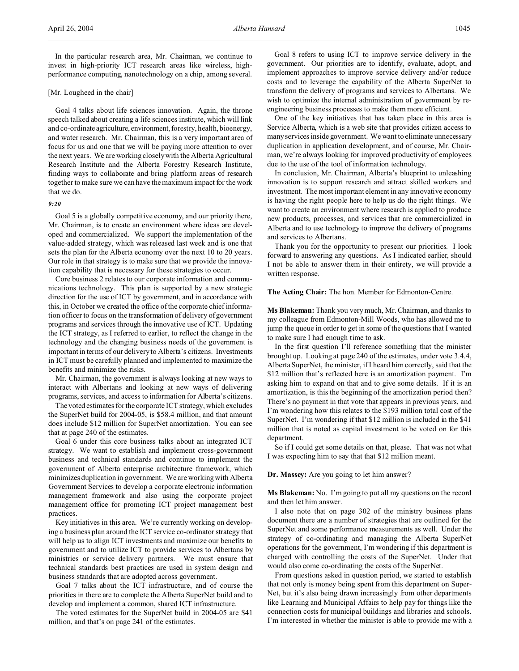In the particular research area, Mr. Chairman, we continue to invest in high-priority ICT research areas like wireless, highperformance computing, nanotechnology on a chip, among several.

### [Mr. Lougheed in the chair]

Goal 4 talks about life sciences innovation. Again, the throne speech talked about creating a life sciences institute, which will link and co-ordinate agriculture, environment, forestry, health, bioenergy, and water research. Mr. Chairman, this is a very important area of focus for us and one that we will be paying more attention to over the next years. We are working closely with the Alberta Agricultural Research Institute and the Alberta Forestry Research Institute, finding ways to collaborate and bring platform areas of research together to make sure we can have the maximum impact for the work that we do.

# *9:20*

Goal 5 is a globally competitive economy, and our priority there, Mr. Chairman, is to create an environment where ideas are developed and commercialized. We support the implementation of the value-added strategy, which was released last week and is one that sets the plan for the Alberta economy over the next 10 to 20 years. Our role in that strategy is to make sure that we provide the innovation capability that is necessary for these strategies to occur.

Core business 2 relates to our corporate information and communications technology. This plan is supported by a new strategic direction for the use of ICT by government, and in accordance with this, in October we created the office of the corporate chief information officer to focus on the transformation of delivery of government programs and services through the innovative use of ICT. Updating the ICT strategy, as I referred to earlier, to reflect the change in the technology and the changing business needs of the government is important in terms of our delivery to Alberta's citizens. Investments in ICT must be carefully planned and implemented to maximize the benefits and minimize the risks.

Mr. Chairman, the government is always looking at new ways to interact with Albertans and looking at new ways of delivering programs, services, and access to information for Alberta's citizens.

The voted estimates for the corporate ICT strategy, which excludes the SuperNet build for 2004-05, is \$58.4 million, and that amount does include \$12 million for SuperNet amortization. You can see that at page 240 of the estimates.

Goal 6 under this core business talks about an integrated ICT strategy. We want to establish and implement cross-government business and technical standards and continue to implement the government of Alberta enterprise architecture framework, which minimizes duplication in government. We are working with Alberta Government Services to develop a corporate electronic information management framework and also using the corporate project management office for promoting ICT project management best practices.

Key initiatives in this area. We're currently working on developing a business plan around the ICT service co-ordinator strategy that will help us to align ICT investments and maximize our benefits to government and to utilize ICT to provide services to Albertans by ministries or service delivery partners. We must ensure that technical standards best practices are used in system design and business standards that are adopted across government.

Goal 7 talks about the ICT infrastructure, and of course the priorities in there are to complete the Alberta SuperNet build and to develop and implement a common, shared ICT infrastructure.

The voted estimates for the SuperNet build in 2004-05 are \$41 million, and that's on page 241 of the estimates.

Goal 8 refers to using ICT to improve service delivery in the government. Our priorities are to identify, evaluate, adopt, and implement approaches to improve service delivery and/or reduce costs and to leverage the capability of the Alberta SuperNet to transform the delivery of programs and services to Albertans. We wish to optimize the internal administration of government by reengineering business processes to make them more efficient.

One of the key initiatives that has taken place in this area is Service Alberta, which is a web site that provides citizen access to many services inside government. We want to eliminate unnecessary duplication in application development, and of course, Mr. Chairman, we're always looking for improved productivity of employees due to the use of the tool of information technology.

In conclusion, Mr. Chairman, Alberta's blueprint to unleashing innovation is to support research and attract skilled workers and investment. The most important element in any innovative economy is having the right people here to help us do the right things. We want to create an environment where research is applied to produce new products, processes, and services that are commercialized in Alberta and to use technology to improve the delivery of programs and services to Albertans.

Thank you for the opportunity to present our priorities. I look forward to answering any questions. As I indicated earlier, should I not be able to answer them in their entirety, we will provide a written response.

#### **The Acting Chair:** The hon. Member for Edmonton-Centre.

**Ms Blakeman:** Thank you very much, Mr. Chairman, and thanks to my colleague from Edmonton-Mill Woods, who has allowed me to jump the queue in order to get in some of the questions that I wanted to make sure I had enough time to ask.

In the first question I'll reference something that the minister brought up. Looking at page 240 of the estimates, under vote 3.4.4, Alberta SuperNet, the minister, if I heard him correctly, said that the \$12 million that's reflected here is an amortization payment. I'm asking him to expand on that and to give some details. If it is an amortization, is this the beginning of the amortization period then? There's no payment in that vote that appears in previous years, and I'm wondering how this relates to the \$193 million total cost of the SuperNet. I'm wondering if that \$12 million is included in the \$41 million that is noted as capital investment to be voted on for this department.

So if I could get some details on that, please. That was not what I was expecting him to say that that \$12 million meant.

### **Dr. Massey:** Are you going to let him answer?

**Ms Blakeman:** No. I'm going to put all my questions on the record and then let him answer.

I also note that on page 302 of the ministry business plans document there are a number of strategies that are outlined for the SuperNet and some performance measurements as well. Under the strategy of co-ordinating and managing the Alberta SuperNet operations for the government, I'm wondering if this department is charged with controlling the costs of the SuperNet. Under that would also come co-ordinating the costs of the SuperNet.

From questions asked in question period, we started to establish that not only is money being spent from this department on Super-Net, but it's also being drawn increasingly from other departments like Learning and Municipal Affairs to help pay for things like the connection costs for municipal buildings and libraries and schools. I'm interested in whether the minister is able to provide me with a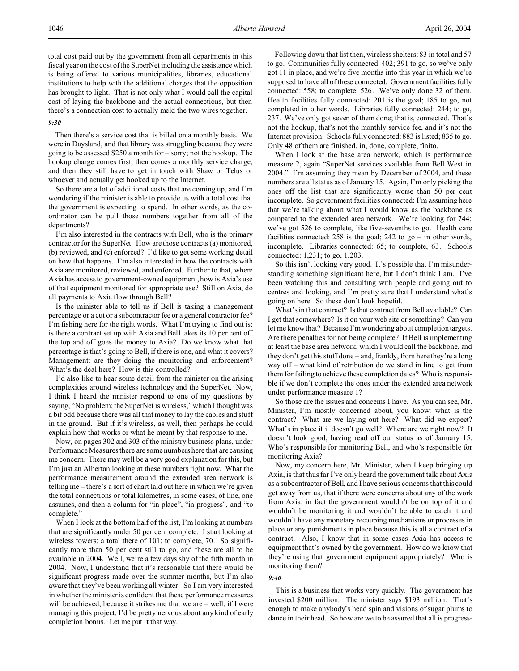total cost paid out by the government from all departments in this fiscal year on the cost of the SuperNet including the assistance which is being offered to various municipalities, libraries, educational institutions to help with the additional charges that the opposition has brought to light. That is not only what I would call the capital cost of laying the backbone and the actual connections, but then there's a connection cost to actually meld the two wires together.

#### *9:30*

Then there's a service cost that is billed on a monthly basis. We were in Daysland, and that library was struggling because they were going to be assessed \$250 a month for – sorry; not the hookup. The hookup charge comes first, then comes a monthly service charge, and then they still have to get in touch with Shaw or Telus or whoever and actually get hooked up to the Internet.

So there are a lot of additional costs that are coming up, and I'm wondering if the minister is able to provide us with a total cost that the government is expecting to spend. In other words, as the coordinator can he pull those numbers together from all of the departments?

I'm also interested in the contracts with Bell, who is the primary contractor for the SuperNet. How are those contracts (a) monitored, (b) reviewed, and (c) enforced? I'd like to get some working detail on how that happens. I'm also interested in how the contracts with Axia are monitored, reviewed, and enforced. Further to that, where Axia has access to government-owned equipment, how is Axia's use of that equipment monitored for appropriate use? Still on Axia, do all payments to Axia flow through Bell?

Is the minister able to tell us if Bell is taking a management percentage or a cut or a subcontractor fee or a general contractor fee? I'm fishing here for the right words. What I'm trying to find out is: is there a contract set up with Axia and Bell takes its 10 per cent off the top and off goes the money to Axia? Do we know what that percentage is that's going to Bell, if there is one, and what it covers? Management: are they doing the monitoring and enforcement? What's the deal here? How is this controlled?

I'd also like to hear some detail from the minister on the arising complexities around wireless technology and the SuperNet. Now, I think I heard the minister respond to one of my questions by saying, "No problem; the SuperNet is wireless," which I thought was a bit odd because there was all that money to lay the cables and stuff in the ground. But if it's wireless, as well, then perhaps he could explain how that works or what he meant by that response to me.

Now, on pages 302 and 303 of the ministry business plans, under Performance Measures there are some numbers here that are causing me concern. There may well be a very good explanation for this, but I'm just an Albertan looking at these numbers right now. What the performance measurement around the extended area network is telling me – there's a sort of chart laid out here in which we're given the total connections or total kilometres, in some cases, of line, one assumes, and then a column for "in place", "in progress", and "to complete."

When I look at the bottom half of the list, I'm looking at numbers that are significantly under 50 per cent complete. I start looking at wireless towers: a total there of 101; to complete, 70. So significantly more than 50 per cent still to go, and these are all to be available in 2004. Well, we're a few days shy of the fifth month in 2004. Now, I understand that it's reasonable that there would be significant progress made over the summer months, but I'm also aware that they've been working all winter. So I am very interested in whether the minister is confident that these performance measures will be achieved, because it strikes me that we are – well, if I were managing this project, I'd be pretty nervous about any kind of early completion bonus. Let me put it that way.

Following down that list then, wireless shelters: 83 in total and 57 to go. Communities fully connected: 402; 391 to go, so we've only got 11 in place, and we're five months into this year in which we're supposed to have all of these connected. Government facilities fully connected: 558; to complete, 526. We've only done 32 of them. Health facilities fully connected: 201 is the goal; 185 to go, not completed in other words. Libraries fully connected: 244; to go, 237. We've only got seven of them done; that is, connected. That's not the hookup, that's not the monthly service fee, and it's not the Internet provision. Schools fully connected: 883 is listed; 835 to go. Only 48 of them are finished, in, done, complete, finito.

When I look at the base area network, which is performance measure 2, again "SuperNet services available from Bell West in 2004." I'm assuming they mean by December of 2004, and these numbers are all status as of January 15. Again, I'm only picking the ones off the list that are significantly worse than 50 per cent incomplete. So government facilities connected: I'm assuming here that we're talking about what I would know as the backbone as compared to the extended area network. We're looking for 744; we've got 526 to complete, like five-sevenths to go. Health care facilities connected:  $258$  is the goal;  $242$  to go – in other words, incomplete. Libraries connected: 65; to complete, 63. Schools connected: 1,231; to go, 1,203.

So this isn't looking very good. It's possible that I'm misunderstanding something significant here, but I don't think I am. I've been watching this and consulting with people and going out to centres and looking, and I'm pretty sure that I understand what's going on here. So these don't look hopeful.

What's in that contract? Is that contract from Bell available? Can I get that somewhere? Is it on your web site or something? Can you let me know that? Because I'm wondering about completion targets. Are there penalties for not being complete? If Bell is implementing at least the base area network, which I would call the backbone, and they don't get this stuff done – and, frankly, from here they're a long way off – what kind of retribution do we stand in line to get from them for failing to achieve these completion dates? Who is responsible if we don't complete the ones under the extended area network under performance measure 1?

So those are the issues and concerns I have. As you can see, Mr. Minister, I'm mostly concerned about, you know: what is the contract? What are we laying out here? What did we expect? What's in place if it doesn't go well? Where are we right now? It doesn't look good, having read off our status as of January 15. Who's responsible for monitoring Bell, and who's responsible for monitoring Axia?

Now, my concern here, Mr. Minister, when I keep bringing up Axia, is that thus far I've only heard the government talk about Axia as a subcontractor of Bell, and I have serious concerns that this could get away from us, that if there were concerns about any of the work from Axia, in fact the government wouldn't be on top of it and wouldn't be monitoring it and wouldn't be able to catch it and wouldn't have any monetary recouping mechanisms or processes in place or any punishments in place because this is all a contract of a contract. Also, I know that in some cases Axia has access to equipment that's owned by the government. How do we know that they're using that government equipment appropriately? Who is monitoring them?

#### *9:40*

This is a business that works very quickly. The government has invested \$200 million. The minister says \$193 million. That's enough to make anybody's head spin and visions of sugar plums to dance in their head. So how are we to be assured that all is progress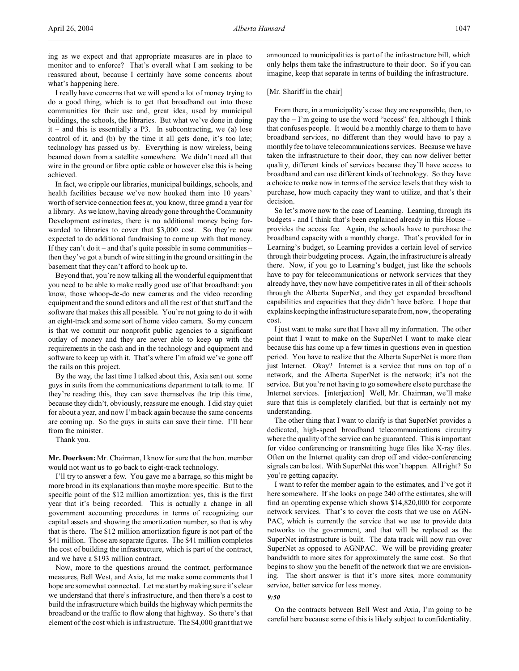ing as we expect and that appropriate measures are in place to monitor and to enforce? That's overall what I am seeking to be reassured about, because I certainly have some concerns about what's happening here.

I really have concerns that we will spend a lot of money trying to do a good thing, which is to get that broadband out into those communities for their use and, great idea, used by municipal buildings, the schools, the libraries. But what we've done in doing  $it$  – and this is essentially a P3. In subcontracting, we (a) lose control of it, and (b) by the time it all gets done, it's too late; technology has passed us by. Everything is now wireless, being beamed down from a satellite somewhere. We didn't need all that wire in the ground or fibre optic cable or however else this is being achieved.

In fact, we cripple our libraries, municipal buildings, schools, and health facilities because we've now hooked them into 10 years' worth of service connection fees at, you know, three grand a year for a library. As we know, having already gone through the Community Development estimates, there is no additional money being forwarded to libraries to cover that \$3,000 cost. So they're now expected to do additional fundraising to come up with that money. If they can't do it – and that's quite possible in some communities – then they've got a bunch of wire sitting in the ground or sitting in the basement that they can't afford to hook up to.

Beyond that, you're now talking all the wonderful equipment that you need to be able to make really good use of that broadband: you know, those whoop-de-do new cameras and the video recording equipment and the sound editors and all the rest of that stuff and the software that makes this all possible. You're not going to do it with an eight-track and some sort of home video camera. So my concern is that we commit our nonprofit public agencies to a significant outlay of money and they are never able to keep up with the requirements in the cash and in the technology and equipment and software to keep up with it. That's where I'm afraid we've gone off the rails on this project.

By the way, the last time I talked about this, Axia sent out some guys in suits from the communications department to talk to me. If they're reading this, they can save themselves the trip this time, because they didn't, obviously, reassure me enough. I did stay quiet for about a year, and now I'm back again because the same concerns are coming up. So the guys in suits can save their time. I'll hear from the minister.

Thank you.

**Mr. Doerksen:** Mr. Chairman, I know for sure that the hon. member would not want us to go back to eight-track technology.

I'll try to answer a few. You gave me a barrage, so this might be more broad in its explanations than maybe more specific. But to the specific point of the \$12 million amortization: yes, this is the first year that it's being recorded. This is actually a change in all government accounting procedures in terms of recognizing our capital assets and showing the amortization number, so that is why that is there. The \$12 million amortization figure is not part of the \$41 million. Those are separate figures. The \$41 million completes the cost of building the infrastructure, which is part of the contract, and we have a \$193 million contract.

Now, more to the questions around the contract, performance measures, Bell West, and Axia, let me make some comments that I hope are somewhat connected. Let me start by making sure it's clear we understand that there's infrastructure, and then there's a cost to build the infrastructure which builds the highway which permits the broadband or the traffic to flow along that highway. So there's that element of the cost which is infrastructure. The \$4,000 grant that we announced to municipalities is part of the infrastructure bill, which only helps them take the infrastructure to their door. So if you can imagine, keep that separate in terms of building the infrastructure.

### [Mr. Shariff in the chair]

From there, in a municipality's case they are responsible, then, to pay the – I'm going to use the word "access" fee, although I think that confuses people. It would be a monthly charge to them to have broadband services, no different than they would have to pay a monthly fee to have telecommunications services. Because we have taken the infrastructure to their door, they can now deliver better quality, different kinds of services because they'll have access to broadband and can use different kinds of technology. So they have a choice to make now in terms of the service levels that they wish to purchase, how much capacity they want to utilize, and that's their decision.

So let's move now to the case of Learning. Learning, through its budgets - and I think that's been explained already in this House – provides the access fee. Again, the schools have to purchase the broadband capacity with a monthly charge. That's provided for in Learning's budget, so Learning provides a certain level of service through their budgeting process. Again, the infrastructure is already there. Now, if you go to Learning's budget, just like the schools have to pay for telecommunications or network services that they already have, they now have competitive rates in all of their schools through the Alberta SuperNet, and they get expanded broadband capabilities and capacities that they didn't have before. I hope that explains keeping the infrastructure separate from, now, the operating cost.

I just want to make sure that I have all my information. The other point that I want to make on the SuperNet I want to make clear because this has come up a few times in questions even in question period. You have to realize that the Alberta SuperNet is more than just Internet. Okay? Internet is a service that runs on top of a network, and the Alberta SuperNet is the network; it's not the service. But you're not having to go somewhere else to purchase the Internet services. [interjection] Well, Mr. Chairman, we'll make sure that this is completely clarified, but that is certainly not my understanding.

The other thing that I want to clarify is that SuperNet provides a dedicated, high-speed broadband telecommunications circuitry where the quality of the service can be guaranteed. This is important for video conferencing or transmitting huge files like X-ray files. Often on the Internet quality can drop off and video-conferencing signals can be lost. With SuperNet this won't happen. All right? So you're getting capacity.

I want to refer the member again to the estimates, and I've got it here somewhere. If she looks on page 240 of the estimates, she will find an operating expense which shows \$14,820,000 for corporate network services. That's to cover the costs that we use on AGN-PAC, which is currently the service that we use to provide data networks to the government, and that will be replaced as the SuperNet infrastructure is built. The data track will now run over SuperNet as opposed to AGNPAC. We will be providing greater bandwidth to more sites for approximately the same cost. So that begins to show you the benefit of the network that we are envisioning. The short answer is that it's more sites, more community service, better service for less money.

# *9:50*

On the contracts between Bell West and Axia, I'm going to be careful here because some of this is likely subject to confidentiality.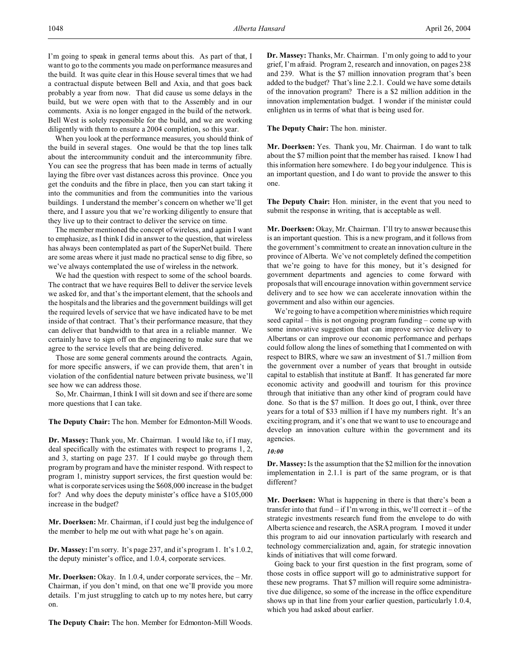I'm going to speak in general terms about this. As part of that, I want to go to the comments you made on performance measures and the build. It was quite clear in this House several times that we had a contractual dispute between Bell and Axia, and that goes back probably a year from now. That did cause us some delays in the build, but we were open with that to the Assembly and in our comments. Axia is no longer engaged in the build of the network. Bell West is solely responsible for the build, and we are working diligently with them to ensure a 2004 completion, so this year.

When you look at the performance measures, you should think of the build in several stages. One would be that the top lines talk about the intercommunity conduit and the intercommunity fibre. You can see the progress that has been made in terms of actually laying the fibre over vast distances across this province. Once you get the conduits and the fibre in place, then you can start taking it into the communities and from the communities into the various buildings. I understand the member's concern on whether we'll get there, and I assure you that we're working diligently to ensure that they live up to their contract to deliver the service on time.

The member mentioned the concept of wireless, and again I want to emphasize, as I think I did in answer to the question, that wireless has always been contemplated as part of the SuperNet build. There are some areas where it just made no practical sense to dig fibre, so we've always contemplated the use of wireless in the network.

We had the question with respect to some of the school boards. The contract that we have requires Bell to deliver the service levels we asked for, and that's the important element, that the schools and the hospitals and the libraries and the government buildings will get the required levels of service that we have indicated have to be met inside of that contract. That's their performance measure, that they can deliver that bandwidth to that area in a reliable manner. We certainly have to sign off on the engineering to make sure that we agree to the service levels that are being delivered.

Those are some general comments around the contracts. Again, for more specific answers, if we can provide them, that aren't in violation of the confidential nature between private business, we'll see how we can address those.

So, Mr. Chairman, I think I will sit down and see if there are some more questions that I can take.

**The Deputy Chair:** The hon. Member for Edmonton-Mill Woods.

**Dr. Massey:** Thank you, Mr. Chairman. I would like to, if I may, deal specifically with the estimates with respect to programs 1, 2, and 3, starting on page 237. If I could maybe go through them program by program and have the minister respond. With respect to program 1, ministry support services, the first question would be: what is corporate services using the \$608,000 increase in the budget for? And why does the deputy minister's office have a \$105,000 increase in the budget?

**Mr. Doerksen:** Mr. Chairman, if I could just beg the indulgence of the member to help me out with what page he's on again.

**Dr. Massey:** I'm sorry. It's page 237, and it's program 1. It's 1.0.2, the deputy minister's office, and 1.0.4, corporate services.

**Mr. Doerksen:** Okay. In 1.0.4, under corporate services, the – Mr. Chairman, if you don't mind, on that one we'll provide you more details. I'm just struggling to catch up to my notes here, but carry on.

**The Deputy Chair:** The hon. Member for Edmonton-Mill Woods.

**Dr. Massey:** Thanks, Mr. Chairman. I'm only going to add to your grief, I'm afraid. Program 2, research and innovation, on pages 238 and 239. What is the \$7 million innovation program that's been added to the budget? That's line 2.2.1. Could we have some details of the innovation program? There is a \$2 million addition in the innovation implementation budget. I wonder if the minister could enlighten us in terms of what that is being used for.

**The Deputy Chair:** The hon. minister.

**Mr. Doerksen:** Yes. Thank you, Mr. Chairman. I do want to talk about the \$7 million point that the member has raised. I know I had this information here somewhere. I do beg your indulgence. This is an important question, and I do want to provide the answer to this one.

**The Deputy Chair:** Hon. minister, in the event that you need to submit the response in writing, that is acceptable as well.

**Mr. Doerksen:** Okay, Mr. Chairman. I'll try to answer because this is an important question. This is a new program, and it follows from the government's commitment to create an innovation culture in the province of Alberta. We've not completely defined the competition that we're going to have for this money, but it's designed for government departments and agencies to come forward with proposals that will encourage innovation within government service delivery and to see how we can accelerate innovation within the government and also within our agencies.

We're going to have a competition where ministries which require seed capital – this is not ongoing program funding – come up with some innovative suggestion that can improve service delivery to Albertans or can improve our economic performance and perhaps could follow along the lines of something that I commented on with respect to BIRS, where we saw an investment of \$1.7 million from the government over a number of years that brought in outside capital to establish that institute at Banff. It has generated far more economic activity and goodwill and tourism for this province through that initiative than any other kind of program could have done. So that is the \$7 million. It does go out, I think, over three years for a total of \$33 million if I have my numbers right. It's an exciting program, and it's one that we want to use to encourage and develop an innovation culture within the government and its agencies.

#### *10:00*

**Dr. Massey:** Is the assumption that the \$2 million for the innovation implementation in 2.1.1 is part of the same program, or is that different?

**Mr. Doerksen:** What is happening in there is that there's been a transfer into that fund – if I'm wrong in this, we'll correct it – of the strategic investments research fund from the envelope to do with Alberta science and research, the ASRA program. I moved it under this program to aid our innovation particularly with research and technology commercialization and, again, for strategic innovation kinds of initiatives that will come forward.

Going back to your first question in the first program, some of those costs in office support will go to administrative support for these new programs. That \$7 million will require some administrative due diligence, so some of the increase in the office expenditure shows up in that line from your earlier question, particularly 1.0.4, which you had asked about earlier.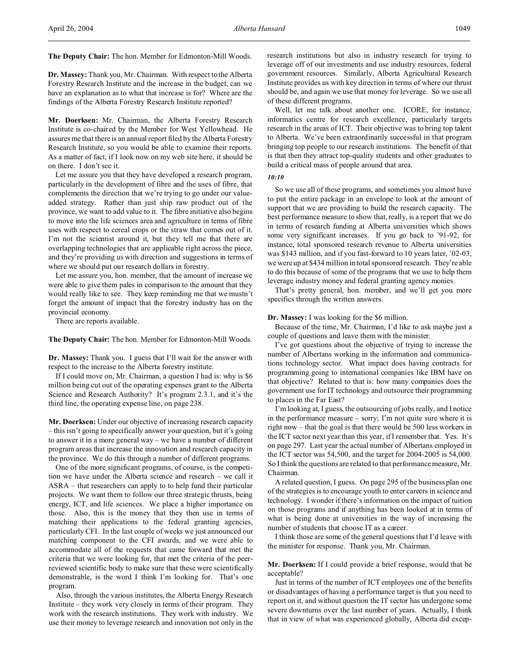**The Deputy Chair:** The hon. Member for Edmonton-Mill Woods.

**Dr. Massey:** Thank you, Mr. Chairman. With respect to the Alberta Forestry Research Institute and the increase in the budget, can we have an explanation as to what that increase is for? Where are the findings of the Alberta Forestry Research Institute reported?

**Mr. Doerksen:** Mr. Chairman, the Alberta Forestry Research Institute is co-chaired by the Member for West Yellowhead. He assures me that there is an annual report filed by the Alberta Forestry Research Institute, so you would be able to examine their reports. As a matter of fact, if I look now on my web site here, it should be on there. I don't see it.

Let me assure you that they have developed a research program, particularly in the development of fibre and the uses of fibre, that complements the direction that we're trying to go under our valueadded strategy. Rather than just ship raw product out of the province, we want to add value to it. The fibre initiative also begins to move into the life sciences area and agriculture in terms of fibre uses with respect to cereal crops or the straw that comes out of it. I'm not the scientist around it, but they tell me that there are overlapping technologies that are applicable right across the piece, and they're providing us with direction and suggestions in terms of where we should put our research dollars in forestry.

Let me assure you, hon. member, that the amount of increase we were able to give them pales in comparison to the amount that they would really like to see. They keep reminding me that we mustn't forget the amount of impact that the forestry industry has on the provincial economy.

There are reports available.

**The Deputy Chair:** The hon. Member for Edmonton-Mill Woods.

**Dr. Massey:** Thank you. I guess that I'll wait for the answer with respect to the increase to the Alberta forestry institute.

If I could move on, Mr. Chairman, a question I had is: why is \$6 million being cut out of the operating expenses grant to the Alberta Science and Research Authority? It's program 2.3.1, and it's the third line, the operating expense line, on page 238.

**Mr. Doerksen:** Under our objective of increasing research capacity – this isn't going to specifically answer your question, but it's going to answer it in a more general way – we have a number of different program areas that increase the innovation and research capacity in the province. We do this through a number of different programs.

One of the more significant programs, of course, is the competition we have under the Alberta science and research – we call it ASRA – that researchers can apply to to help fund their particular projects. We want them to follow our three strategic thrusts, being energy, ICT, and life sciences. We place a higher importance on those. Also, this is the money that they then use in terms of matching their applications to the federal granting agencies, particularly CFI. In the last couple of weeks we just announced our matching component to the CFI awards, and we were able to accommodate all of the requests that came forward that met the criteria that we were looking for, that met the criteria of the peerreviewed scientific body to make sure that these were scientifically demonstrable, is the word I think I'm looking for. That's one program.

Also, through the various institutes, the Alberta Energy Research Institute – they work very closely in terms of their program. They work with the research institutions. They work with industry. We use their money to leverage research and innovation not only in the

research institutions but also in industry research for trying to leverage off of our investments and use industry resources, federal government resources. Similarly, Alberta Agricultural Research Institute provides us with key direction in terms of where our thrust should be, and again we use that money for leverage. So we use all of these different programs.

Well, let me talk about another one. ICORE, for instance, informatics centre for research excellence, particularly targets research in the areas of ICT. Their objective was to bring top talent to Alberta. We've been extraordinarily successful in that program bringing top people to our research institutions. The benefit of that is that then they attract top-quality students and other graduates to build a critical mass of people around that area.

*10:10*

So we use all of these programs, and sometimes you almost have to put the entire package in an envelope to look at the amount of support that we are providing to build the research capacity. The best performance measure to show that, really, is a report that we do in terms of research funding at Alberta universities which shows some very significant increases. If you go back to '91-92, for instance, total sponsored research revenue to Alberta universities was \$143 million, and if you fast-forward to 10 years later, '02-03, we were up at \$434 million in total sponsored research. They're able to do this because of some of the programs that we use to help them leverage industry money and federal granting agency monies.

That's pretty general, hon. member, and we'll get you more specifics through the written answers.

#### **Dr. Massey:** I was looking for the \$6 million.

Because of the time, Mr. Chairman, I'd like to ask maybe just a couple of questions and leave them with the minister.

I've got questions about the objective of trying to increase the number of Albertans working in the information and communications technology sector. What impact does having contracts for programming going to international companies like IBM have on that objective? Related to that is: how many companies does the government use for IT technology and outsource their programming to places in the Far East?

I'm looking at, I guess, the outsourcing of jobs really, and I notice in the performance measure – sorry; I'm not quite sure where it is right now – that the goal is that there would be 500 less workers in the ICT sector next year than this year, if I remember that. Yes. It's on page 297. Last year the actual number of Albertans employed in the ICT sector was 54,500, and the target for 2004-2005 is 54,000. So I think the questions are related to that performance measure, Mr. Chairman.

A related question, I guess. On page 295 of the business plan one of the strategies is to encourage youth to enter careers in science and technology. I wonder if there's information on the impact of tuition on those programs and if anything has been looked at in terms of what is being done at universities in the way of increasing the number of students that choose IT as a career.

I think those are some of the general questions that I'd leave with the minister for response. Thank you, Mr. Chairman.

# **Mr. Doerksen:** If I could provide a brief response, would that be acceptable?

Just in terms of the number of ICT employees one of the benefits or disadvantages of having a performance target is that you need to report on it, and without question the IT sector has undergone some severe downturns over the last number of years. Actually, I think that in view of what was experienced globally, Alberta did excep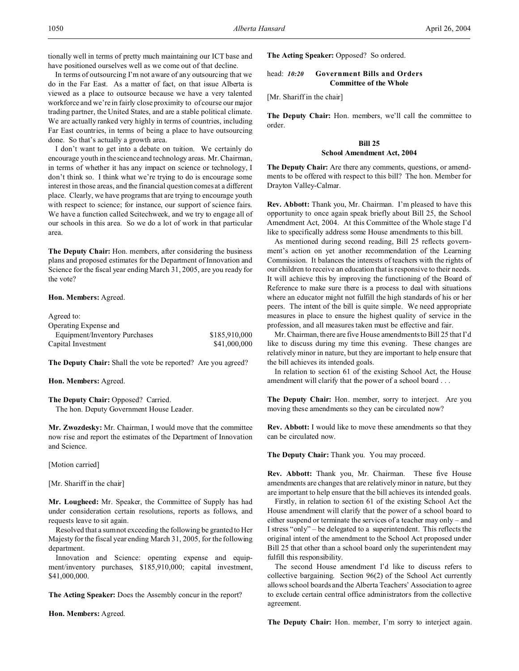tionally well in terms of pretty much maintaining our ICT base and have positioned ourselves well as we come out of that decline.

In terms of outsourcing I'm not aware of any outsourcing that we do in the Far East. As a matter of fact, on that issue Alberta is viewed as a place to outsource because we have a very talented workforce and we're in fairly close proximity to of course our major trading partner, the United States, and are a stable political climate. We are actually ranked very highly in terms of countries, including Far East countries, in terms of being a place to have outsourcing done. So that's actually a growth area.

I don't want to get into a debate on tuition. We certainly do encourage youth in the science and technology areas. Mr. Chairman, in terms of whether it has any impact on science or technology, I don't think so. I think what we're trying to do is encourage some interest in those areas, and the financial question comes at a different place. Clearly, we have programs that are trying to encourage youth with respect to science; for instance, our support of science fairs. We have a function called Scitechweek, and we try to engage all of our schools in this area. So we do a lot of work in that particular area.

**The Deputy Chair:** Hon. members, after considering the business plans and proposed estimates for the Department of Innovation and Science for the fiscal year ending March 31, 2005, are you ready for the vote?

## **Hon. Members:** Agreed.

| Agreed to:                    |               |
|-------------------------------|---------------|
| Operating Expense and         |               |
| Equipment/Inventory Purchases | \$185,910,000 |
| Capital Investment            | \$41,000,000  |

**The Deputy Chair:** Shall the vote be reported? Are you agreed?

#### **Hon. Members:** Agreed.

**The Deputy Chair:** Opposed? Carried. The hon. Deputy Government House Leader.

**Mr. Zwozdesky:** Mr. Chairman, I would move that the committee now rise and report the estimates of the Department of Innovation and Science.

[Motion carried]

[Mr. Shariff in the chair]

**Mr. Lougheed:** Mr. Speaker, the Committee of Supply has had under consideration certain resolutions, reports as follows, and requests leave to sit again.

Resolved that a sum not exceeding the following be granted to Her Majesty for the fiscal year ending March 31, 2005, for the following department.

Innovation and Science: operating expense and equipment/inventory purchases, \$185,910,000; capital investment, \$41,000,000.

**The Acting Speaker:** Does the Assembly concur in the report?

**Hon. Members:** Agreed.

**The Acting Speaker:** Opposed? So ordered.

# head: *10:20* **Government Bills and Orders Committee of the Whole**

[Mr. Shariff in the chair]

**The Deputy Chair:** Hon. members, we'll call the committee to order.

# **Bill 25 School Amendment Act, 2004**

**The Deputy Chair:** Are there any comments, questions, or amendments to be offered with respect to this bill? The hon. Member for Drayton Valley-Calmar.

**Rev. Abbott:** Thank you, Mr. Chairman. I'm pleased to have this opportunity to once again speak briefly about Bill 25, the School Amendment Act, 2004. At this Committee of the Whole stage I'd like to specifically address some House amendments to this bill.

As mentioned during second reading, Bill 25 reflects government's action on yet another recommendation of the Learning Commission. It balances the interests of teachers with the rights of our children to receive an education that is responsive to their needs. It will achieve this by improving the functioning of the Board of Reference to make sure there is a process to deal with situations where an educator might not fulfill the high standards of his or her peers. The intent of the bill is quite simple. We need appropriate measures in place to ensure the highest quality of service in the profession, and all measures taken must be effective and fair.

Mr. Chairman, there are five House amendments to Bill 25 that I'd like to discuss during my time this evening. These changes are relatively minor in nature, but they are important to help ensure that the bill achieves its intended goals.

In relation to section 61 of the existing School Act, the House amendment will clarify that the power of a school board . . .

**The Deputy Chair:** Hon. member, sorry to interject. Are you moving these amendments so they can be circulated now?

**Rev. Abbott:** I would like to move these amendments so that they can be circulated now.

**The Deputy Chair:** Thank you. You may proceed.

**Rev. Abbott:** Thank you, Mr. Chairman. These five House amendments are changes that are relatively minor in nature, but they are important to help ensure that the bill achieves its intended goals.

Firstly, in relation to section 61 of the existing School Act the House amendment will clarify that the power of a school board to either suspend or terminate the services of a teacher may only – and I stress "only" – be delegated to a superintendent. This reflects the original intent of the amendment to the School Act proposed under Bill 25 that other than a school board only the superintendent may fulfill this responsibility.

The second House amendment I'd like to discuss refers to collective bargaining. Section 96(2) of the School Act currently allows school boards and the Alberta Teachers' Association to agree to exclude certain central office administrators from the collective agreement.

**The Deputy Chair:** Hon. member, I'm sorry to interject again.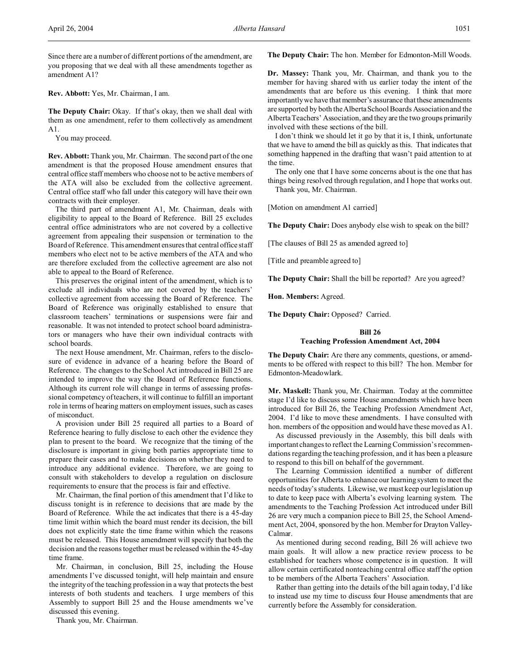Since there are a number of different portions of the amendment, are you proposing that we deal with all these amendments together as amendment A1?

**Rev. Abbott:** Yes, Mr. Chairman, I am.

**The Deputy Chair:** Okay. If that's okay, then we shall deal with them as one amendment, refer to them collectively as amendment A1.

You may proceed.

**Rev. Abbott:** Thank you, Mr. Chairman. The second part of the one amendment is that the proposed House amendment ensures that central office staff members who choose not to be active members of the ATA will also be excluded from the collective agreement. Central office staff who fall under this category will have their own contracts with their employer.

The third part of amendment A1, Mr. Chairman, deals with eligibility to appeal to the Board of Reference. Bill 25 excludes central office administrators who are not covered by a collective agreement from appealing their suspension or termination to the Board of Reference. This amendment ensures that central office staff members who elect not to be active members of the ATA and who are therefore excluded from the collective agreement are also not able to appeal to the Board of Reference.

This preserves the original intent of the amendment, which is to exclude all individuals who are not covered by the teachers' collective agreement from accessing the Board of Reference. The Board of Reference was originally established to ensure that classroom teachers' terminations or suspensions were fair and reasonable. It was not intended to protect school board administrators or managers who have their own individual contracts with school boards.

The next House amendment, Mr. Chairman, refers to the disclosure of evidence in advance of a hearing before the Board of Reference. The changes to the School Act introduced in Bill 25 are intended to improve the way the Board of Reference functions. Although its current role will change in terms of assessing professional competency of teachers, it will continue to fulfill an important role in terms of hearing matters on employment issues, such as cases of misconduct.

A provision under Bill 25 required all parties to a Board of Reference hearing to fully disclose to each other the evidence they plan to present to the board. We recognize that the timing of the disclosure is important in giving both parties appropriate time to prepare their cases and to make decisions on whether they need to introduce any additional evidence. Therefore, we are going to consult with stakeholders to develop a regulation on disclosure requirements to ensure that the process is fair and effective.

Mr. Chairman, the final portion of this amendment that I'd like to discuss tonight is in reference to decisions that are made by the Board of Reference. While the act indicates that there is a 45-day time limit within which the board must render its decision, the bill does not explicitly state the time frame within which the reasons must be released. This House amendment will specify that both the decision and the reasons together must be released within the 45-day time frame.

Mr. Chairman, in conclusion, Bill 25, including the House amendments I've discussed tonight, will help maintain and ensure the integrity of the teaching profession in a way that protects the best interests of both students and teachers. I urge members of this Assembly to support Bill 25 and the House amendments we've discussed this evening.

Thank you, Mr. Chairman.

**The Deputy Chair:** The hon. Member for Edmonton-Mill Woods.

**Dr. Massey:** Thank you, Mr. Chairman, and thank you to the member for having shared with us earlier today the intent of the amendments that are before us this evening. I think that more importantly we have that member's assurance that these amendments are supported by both the Alberta School Boards Association and the Alberta Teachers' Association, and they are the two groups primarily involved with these sections of the bill.

I don't think we should let it go by that it is, I think, unfortunate that we have to amend the bill as quickly as this. That indicates that something happened in the drafting that wasn't paid attention to at the time.

The only one that I have some concerns about is the one that has things being resolved through regulation, and I hope that works out. Thank you, Mr. Chairman.

[Motion on amendment A1 carried]

**The Deputy Chair:** Does anybody else wish to speak on the bill?

[The clauses of Bill 25 as amended agreed to]

[Title and preamble agreed to]

**The Deputy Chair:** Shall the bill be reported? Are you agreed?

**Hon. Members:** Agreed.

**The Deputy Chair:** Opposed? Carried.

#### **Bill 26**

## **Teaching Profession Amendment Act, 2004**

**The Deputy Chair:** Are there any comments, questions, or amendments to be offered with respect to this bill? The hon. Member for Edmonton-Meadowlark.

**Mr. Maskell:** Thank you, Mr. Chairman. Today at the committee stage I'd like to discuss some House amendments which have been introduced for Bill 26, the Teaching Profession Amendment Act, 2004. I'd like to move these amendments. I have consulted with hon. members of the opposition and would have these moved as A1.

As discussed previously in the Assembly, this bill deals with important changes to reflect the Learning Commission's recommendations regarding the teaching profession, and it has been a pleasure to respond to this bill on behalf of the government.

The Learning Commission identified a number of different opportunities for Alberta to enhance our learning system to meet the needs of today's students. Likewise, we must keep our legislation up to date to keep pace with Alberta's evolving learning system. The amendments to the Teaching Profession Act introduced under Bill 26 are very much a companion piece to Bill 25, the School Amendment Act, 2004, sponsored by the hon. Member for Drayton Valley-Calmar.

As mentioned during second reading, Bill 26 will achieve two main goals. It will allow a new practice review process to be established for teachers whose competence is in question. It will allow certain certificated nonteaching central office staff the option to be members of the Alberta Teachers' Association.

Rather than getting into the details of the bill again today, I'd like to instead use my time to discuss four House amendments that are currently before the Assembly for consideration.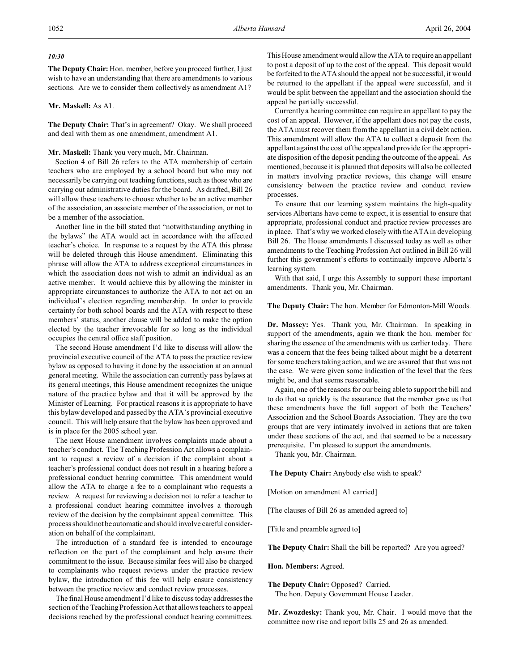## *10:30*

**The Deputy Chair:** Hon. member, before you proceed further, I just wish to have an understanding that there are amendments to various sections. Are we to consider them collectively as amendment A1?

## **Mr. Maskell:** As A1.

**The Deputy Chair:** That's in agreement? Okay. We shall proceed and deal with them as one amendment, amendment A1.

# **Mr. Maskell:** Thank you very much, Mr. Chairman.

Section 4 of Bill 26 refers to the ATA membership of certain teachers who are employed by a school board but who may not necessarily be carrying out teaching functions, such as those who are carrying out administrative duties for the board. As drafted, Bill 26 will allow these teachers to choose whether to be an active member of the association, an associate member of the association, or not to be a member of the association.

Another line in the bill stated that "notwithstanding anything in the bylaws" the ATA would act in accordance with the affected teacher's choice. In response to a request by the ATA this phrase will be deleted through this House amendment. Eliminating this phrase will allow the ATA to address exceptional circumstances in which the association does not wish to admit an individual as an active member. It would achieve this by allowing the minister in appropriate circumstances to authorize the ATA to not act on an individual's election regarding membership. In order to provide certainty for both school boards and the ATA with respect to these members' status, another clause will be added to make the option elected by the teacher irrevocable for so long as the individual occupies the central office staff position.

The second House amendment I'd like to discuss will allow the provincial executive council of the ATA to pass the practice review bylaw as opposed to having it done by the association at an annual general meeting. While the association can currently pass bylaws at its general meetings, this House amendment recognizes the unique nature of the practice bylaw and that it will be approved by the Minister of Learning. For practical reasons it is appropriate to have this bylaw developed and passed by the ATA's provincial executive council. This will help ensure that the bylaw has been approved and is in place for the 2005 school year.

The next House amendment involves complaints made about a teacher's conduct. The Teaching Profession Act allows a complainant to request a review of a decision if the complaint about a teacher's professional conduct does not result in a hearing before a professional conduct hearing committee. This amendment would allow the ATA to charge a fee to a complainant who requests a review. A request for reviewing a decision not to refer a teacher to a professional conduct hearing committee involves a thorough review of the decision by the complainant appeal committee. This process should not be automatic and should involve careful consideration on behalf of the complainant.

The introduction of a standard fee is intended to encourage reflection on the part of the complainant and help ensure their commitment to the issue. Because similar fees will also be charged to complainants who request reviews under the practice review bylaw, the introduction of this fee will help ensure consistency between the practice review and conduct review processes.

The final House amendment I'd like to discuss today addresses the section of the Teaching Profession Act that allows teachers to appeal decisions reached by the professional conduct hearing committees.

This House amendment would allow the ATA to require an appellant to post a deposit of up to the cost of the appeal. This deposit would be forfeited to the ATA should the appeal not be successful, it would be returned to the appellant if the appeal were successful, and it would be split between the appellant and the association should the appeal be partially successful.

Currently a hearing committee can require an appellant to pay the cost of an appeal. However, if the appellant does not pay the costs, the ATA must recover them from the appellant in a civil debt action. This amendment will allow the ATA to collect a deposit from the appellant against the cost of the appeal and provide for the appropriate disposition of the deposit pending the outcome of the appeal. As mentioned, because it is planned that deposits will also be collected in matters involving practice reviews, this change will ensure consistency between the practice review and conduct review processes.

To ensure that our learning system maintains the high-quality services Albertans have come to expect, it is essential to ensure that appropriate, professional conduct and practice review processes are in place. That's why we worked closely with the ATA in developing Bill 26. The House amendments I discussed today as well as other amendments to the Teaching Profession Act outlined in Bill 26 will further this government's efforts to continually improve Alberta's learning system.

With that said, I urge this Assembly to support these important amendments. Thank you, Mr. Chairman.

### **The Deputy Chair:** The hon. Member for Edmonton-Mill Woods.

**Dr. Massey:** Yes. Thank you, Mr. Chairman. In speaking in support of the amendments, again we thank the hon. member for sharing the essence of the amendments with us earlier today. There was a concern that the fees being talked about might be a deterrent for some teachers taking action, and we are assured that that was not the case. We were given some indication of the level that the fees might be, and that seems reasonable.

Again, one of the reasons for our being able to support the bill and to do that so quickly is the assurance that the member gave us that these amendments have the full support of both the Teachers' Association and the School Boards Association. They are the two groups that are very intimately involved in actions that are taken under these sections of the act, and that seemed to be a necessary prerequisite. I'm pleased to support the amendments.

Thank you, Mr. Chairman.

**The Deputy Chair:** Anybody else wish to speak?

[Motion on amendment A1 carried]

[The clauses of Bill 26 as amended agreed to]

[Title and preamble agreed to]

**The Deputy Chair:** Shall the bill be reported? Are you agreed?

**Hon. Members:** Agreed.

**The Deputy Chair:** Opposed? Carried. The hon. Deputy Government House Leader.

**Mr. Zwozdesky:** Thank you, Mr. Chair. I would move that the committee now rise and report bills 25 and 26 as amended.